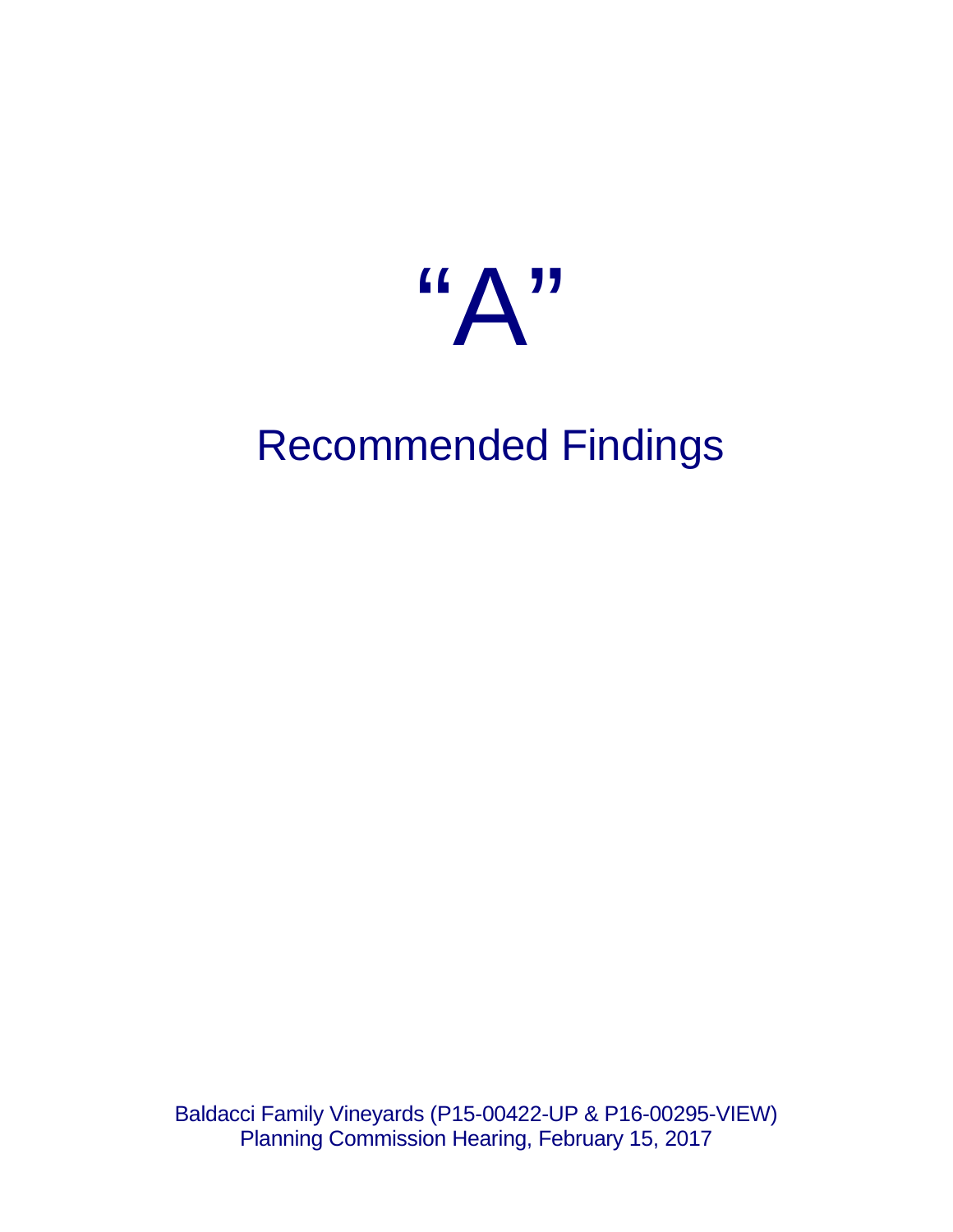

# Recommended Findings

Baldacci Family Vineyards (P15-00422-UP & P16-00295-VIEW) Planning Commission Hearing, February 15, 2017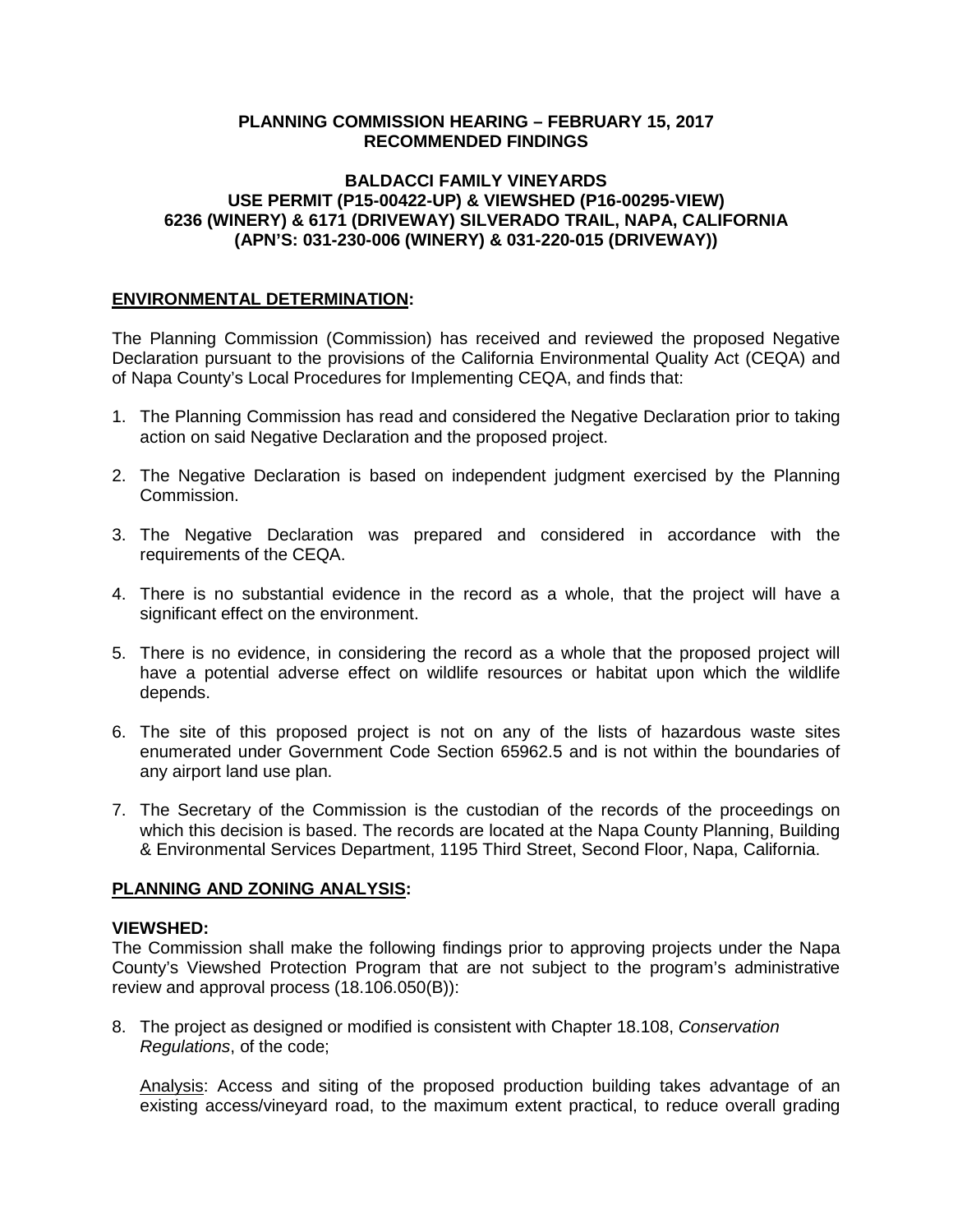#### **PLANNING COMMISSION HEARING – FEBRUARY 15, 2017 RECOMMENDED FINDINGS**

#### **BALDACCI FAMILY VINEYARDS USE PERMIT (P15-00422-UP) & VIEWSHED (P16-00295-VIEW) 6236 (WINERY) & 6171 (DRIVEWAY) SILVERADO TRAIL, NAPA, CALIFORNIA (APN'S: 031-230-006 (WINERY) & 031-220-015 (DRIVEWAY))**

### **ENVIRONMENTAL DETERMINATION:**

The Planning Commission (Commission) has received and reviewed the proposed Negative Declaration pursuant to the provisions of the California Environmental Quality Act (CEQA) and of Napa County's Local Procedures for Implementing CEQA, and finds that:

- 1. The Planning Commission has read and considered the Negative Declaration prior to taking action on said Negative Declaration and the proposed project.
- 2. The Negative Declaration is based on independent judgment exercised by the Planning Commission.
- 3. The Negative Declaration was prepared and considered in accordance with the requirements of the CEQA.
- 4. There is no substantial evidence in the record as a whole, that the project will have a significant effect on the environment.
- 5. There is no evidence, in considering the record as a whole that the proposed project will have a potential adverse effect on wildlife resources or habitat upon which the wildlife depends.
- 6. The site of this proposed project is not on any of the lists of hazardous waste sites enumerated under Government Code Section 65962.5 and is not within the boundaries of any airport land use plan.
- 7. The Secretary of the Commission is the custodian of the records of the proceedings on which this decision is based. The records are located at the Napa County Planning, Building & Environmental Services Department, 1195 Third Street, Second Floor, Napa, California.

### **PLANNING AND ZONING ANALYSIS:**

### **VIEWSHED:**

The Commission shall make the following findings prior to approving projects under the Napa County's Viewshed Protection Program that are not subject to the program's administrative review and approval process (18.106.050(B)):

8. The project as designed or modified is consistent with Chapter 18.108, *Conservation Regulations*, of the code;

Analysis: Access and siting of the proposed production building takes advantage of an existing access/vineyard road, to the maximum extent practical, to reduce overall grading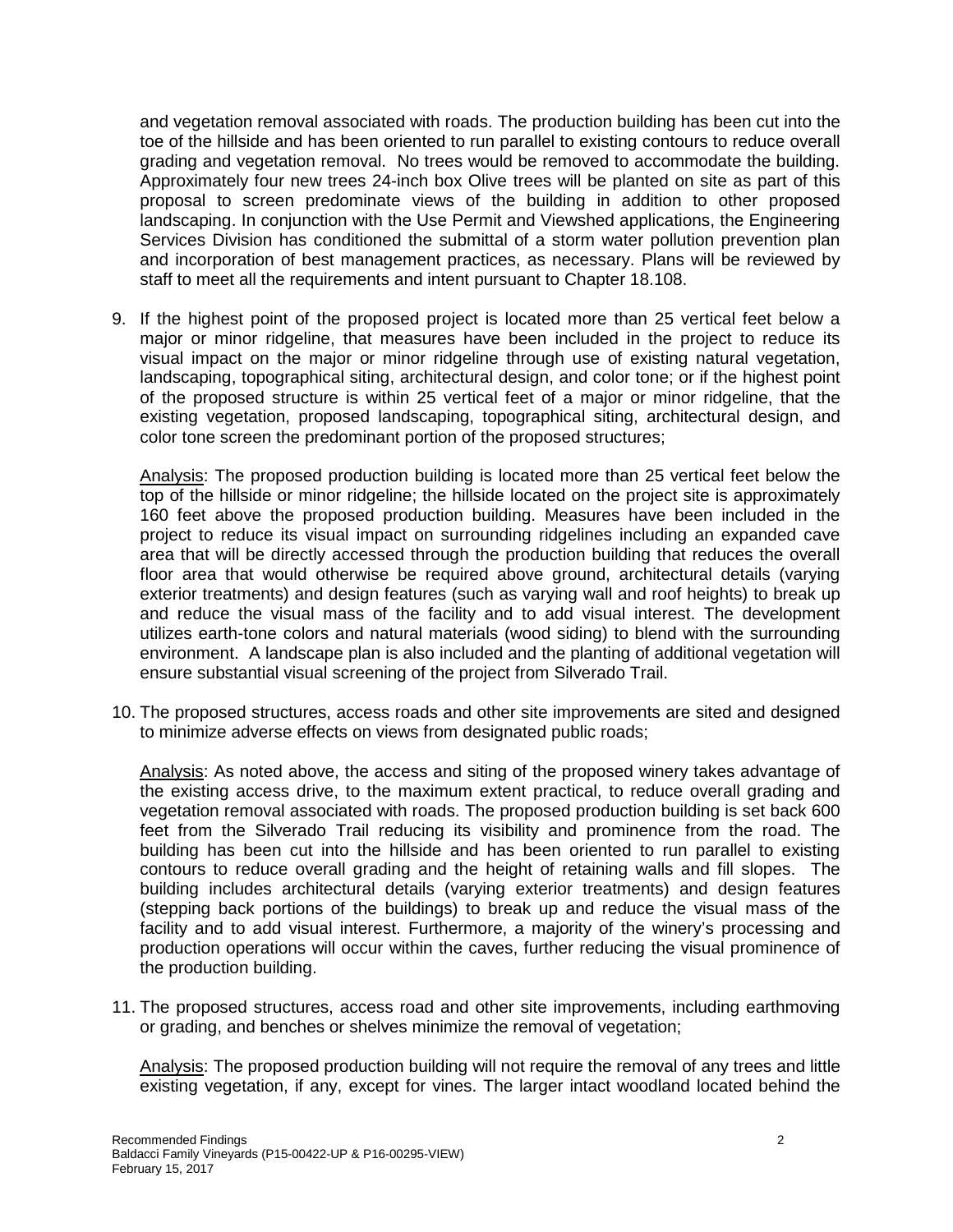and vegetation removal associated with roads. The production building has been cut into the toe of the hillside and has been oriented to run parallel to existing contours to reduce overall grading and vegetation removal. No trees would be removed to accommodate the building. Approximately four new trees 24-inch box Olive trees will be planted on site as part of this proposal to screen predominate views of the building in addition to other proposed landscaping. In conjunction with the Use Permit and Viewshed applications, the Engineering Services Division has conditioned the submittal of a storm water pollution prevention plan and incorporation of best management practices, as necessary. Plans will be reviewed by staff to meet all the requirements and intent pursuant to Chapter 18.108.

9. If the highest point of the proposed project is located more than 25 vertical feet below a major or minor ridgeline, that measures have been included in the project to reduce its visual impact on the major or minor ridgeline through use of existing natural vegetation, landscaping, topographical siting, architectural design, and color tone; or if the highest point of the proposed structure is within 25 vertical feet of a major or minor ridgeline, that the existing vegetation, proposed landscaping, topographical siting, architectural design, and color tone screen the predominant portion of the proposed structures;

Analysis: The proposed production building is located more than 25 vertical feet below the top of the hillside or minor ridgeline; the hillside located on the project site is approximately 160 feet above the proposed production building. Measures have been included in the project to reduce its visual impact on surrounding ridgelines including an expanded cave area that will be directly accessed through the production building that reduces the overall floor area that would otherwise be required above ground, architectural details (varying exterior treatments) and design features (such as varying wall and roof heights) to break up and reduce the visual mass of the facility and to add visual interest. The development utilizes earth-tone colors and natural materials (wood siding) to blend with the surrounding environment. A landscape plan is also included and the planting of additional vegetation will ensure substantial visual screening of the project from Silverado Trail.

10. The proposed structures, access roads and other site improvements are sited and designed to minimize adverse effects on views from designated public roads;

Analysis: As noted above, the access and siting of the proposed winery takes advantage of the existing access drive, to the maximum extent practical, to reduce overall grading and vegetation removal associated with roads. The proposed production building is set back 600 feet from the Silverado Trail reducing its visibility and prominence from the road. The building has been cut into the hillside and has been oriented to run parallel to existing contours to reduce overall grading and the height of retaining walls and fill slopes. The building includes architectural details (varying exterior treatments) and design features (stepping back portions of the buildings) to break up and reduce the visual mass of the facility and to add visual interest. Furthermore, a majority of the winery's processing and production operations will occur within the caves, further reducing the visual prominence of the production building.

11. The proposed structures, access road and other site improvements, including earthmoving or grading, and benches or shelves minimize the removal of vegetation;

Analysis: The proposed production building will not require the removal of any trees and little existing vegetation, if any, except for vines. The larger intact woodland located behind the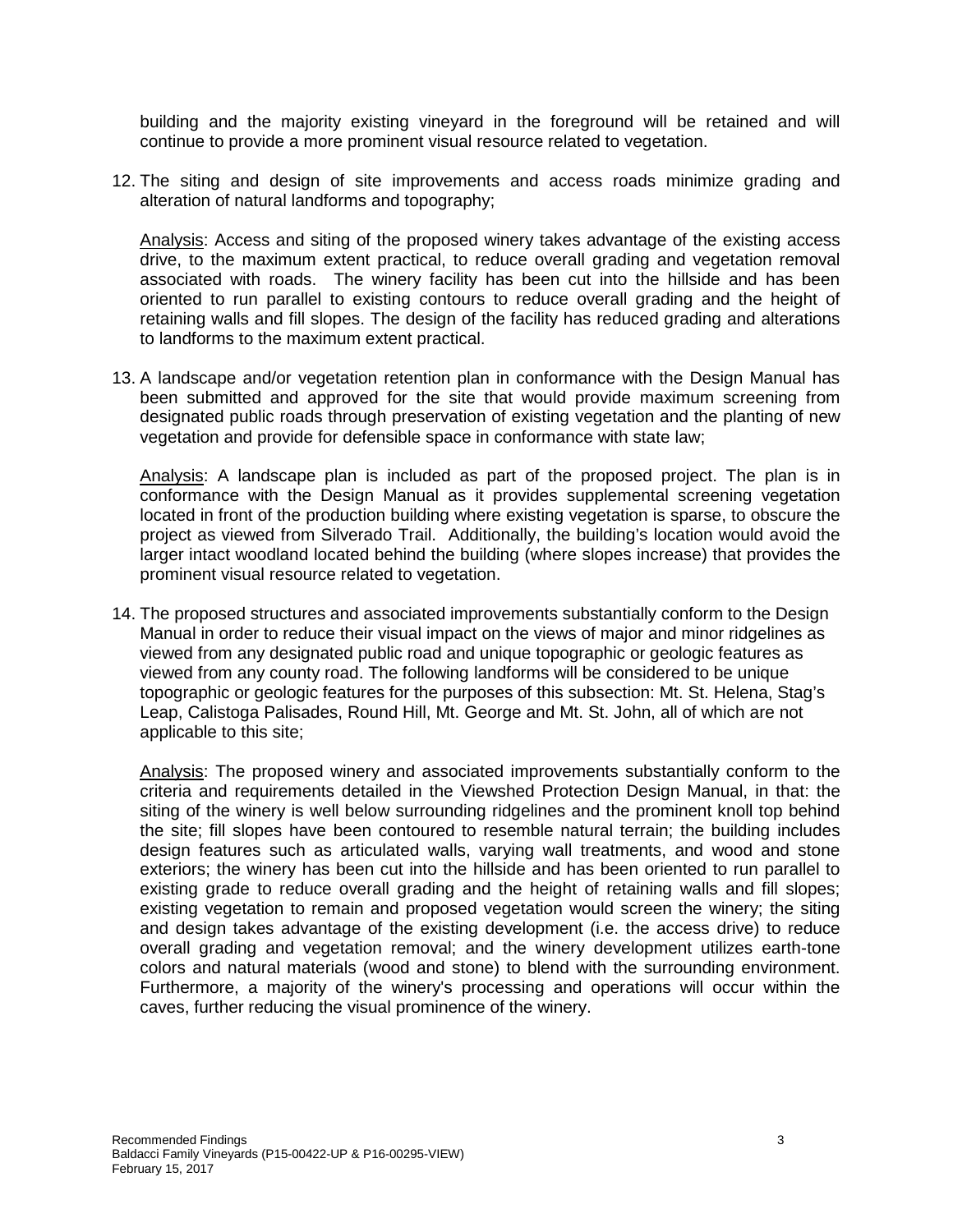building and the majority existing vineyard in the foreground will be retained and will continue to provide a more prominent visual resource related to vegetation.

12. The siting and design of site improvements and access roads minimize grading and alteration of natural landforms and topography;

Analysis: Access and siting of the proposed winery takes advantage of the existing access drive, to the maximum extent practical, to reduce overall grading and vegetation removal associated with roads. The winery facility has been cut into the hillside and has been oriented to run parallel to existing contours to reduce overall grading and the height of retaining walls and fill slopes. The design of the facility has reduced grading and alterations to landforms to the maximum extent practical.

13. A landscape and/or vegetation retention plan in conformance with the Design Manual has been submitted and approved for the site that would provide maximum screening from designated public roads through preservation of existing vegetation and the planting of new vegetation and provide for defensible space in conformance with state law;

Analysis: A landscape plan is included as part of the proposed project. The plan is in conformance with the Design Manual as it provides supplemental screening vegetation located in front of the production building where existing vegetation is sparse, to obscure the project as viewed from Silverado Trail. Additionally, the building's location would avoid the larger intact woodland located behind the building (where slopes increase) that provides the prominent visual resource related to vegetation.

14. The proposed structures and associated improvements substantially conform to the Design Manual in order to reduce their visual impact on the views of major and minor ridgelines as viewed from any designated public road and unique topographic or geologic features as viewed from any county road. The following landforms will be considered to be unique topographic or geologic features for the purposes of this subsection: Mt. St. Helena, Stag's Leap, Calistoga Palisades, Round Hill, Mt. George and Mt. St. John, all of which are not applicable to this site;

Analysis: The proposed winery and associated improvements substantially conform to the criteria and requirements detailed in the Viewshed Protection Design Manual, in that: the siting of the winery is well below surrounding ridgelines and the prominent knoll top behind the site; fill slopes have been contoured to resemble natural terrain; the building includes design features such as articulated walls, varying wall treatments, and wood and stone exteriors; the winery has been cut into the hillside and has been oriented to run parallel to existing grade to reduce overall grading and the height of retaining walls and fill slopes; existing vegetation to remain and proposed vegetation would screen the winery; the siting and design takes advantage of the existing development (i.e. the access drive) to reduce overall grading and vegetation removal; and the winery development utilizes earth-tone colors and natural materials (wood and stone) to blend with the surrounding environment. Furthermore, a majority of the winery's processing and operations will occur within the caves, further reducing the visual prominence of the winery.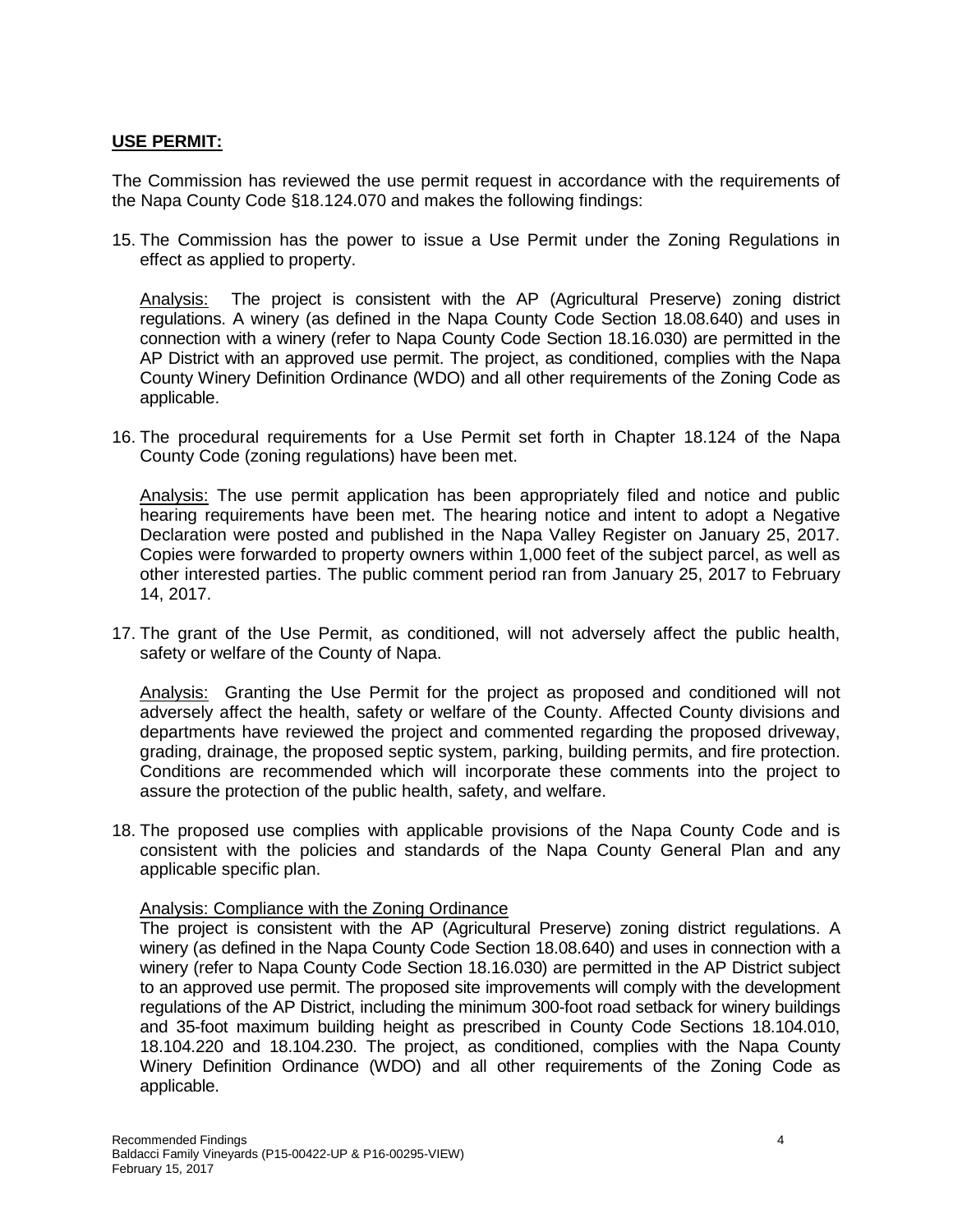### **USE PERMIT:**

The Commission has reviewed the use permit request in accordance with the requirements of the Napa County Code §18.124.070 and makes the following findings:

15. The Commission has the power to issue a Use Permit under the Zoning Regulations in effect as applied to property.

Analysis: The project is consistent with the AP (Agricultural Preserve) zoning district regulations. A winery (as defined in the Napa County Code Section 18.08.640) and uses in connection with a winery (refer to Napa County Code Section 18.16.030) are permitted in the AP District with an approved use permit. The project, as conditioned, complies with the Napa County Winery Definition Ordinance (WDO) and all other requirements of the Zoning Code as applicable.

16. The procedural requirements for a Use Permit set forth in Chapter 18.124 of the Napa County Code (zoning regulations) have been met.

Analysis: The use permit application has been appropriately filed and notice and public hearing requirements have been met. The hearing notice and intent to adopt a Negative Declaration were posted and published in the Napa Valley Register on January 25, 2017. Copies were forwarded to property owners within 1,000 feet of the subject parcel, as well as other interested parties. The public comment period ran from January 25, 2017 to February 14, 2017.

17. The grant of the Use Permit, as conditioned, will not adversely affect the public health, safety or welfare of the County of Napa.

Analysis: Granting the Use Permit for the project as proposed and conditioned will not adversely affect the health, safety or welfare of the County. Affected County divisions and departments have reviewed the project and commented regarding the proposed driveway, grading, drainage, the proposed septic system, parking, building permits, and fire protection. Conditions are recommended which will incorporate these comments into the project to assure the protection of the public health, safety, and welfare.

18. The proposed use complies with applicable provisions of the Napa County Code and is consistent with the policies and standards of the Napa County General Plan and any applicable specific plan.

#### Analysis: Compliance with the Zoning Ordinance

The project is consistent with the AP (Agricultural Preserve) zoning district regulations. A winery (as defined in the Napa County Code Section 18.08.640) and uses in connection with a winery (refer to Napa County Code Section 18.16.030) are permitted in the AP District subject to an approved use permit. The proposed site improvements will comply with the development regulations of the AP District, including the minimum 300-foot road setback for winery buildings and 35-foot maximum building height as prescribed in County Code Sections 18.104.010, 18.104.220 and 18.104.230. The project, as conditioned, complies with the Napa County Winery Definition Ordinance (WDO) and all other requirements of the Zoning Code as applicable.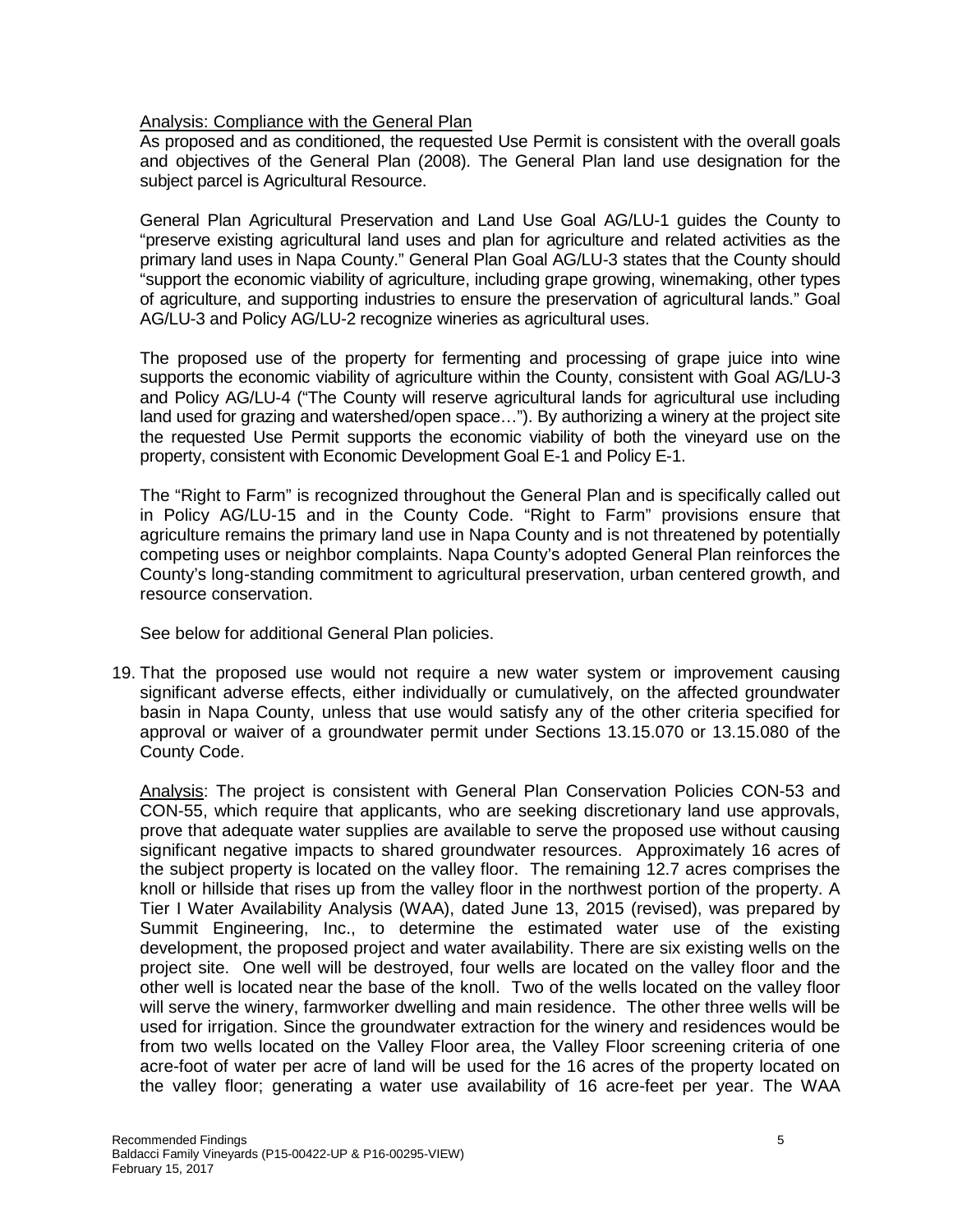## Analysis: Compliance with the General Plan

As proposed and as conditioned, the requested Use Permit is consistent with the overall goals and objectives of the General Plan (2008). The General Plan land use designation for the subject parcel is Agricultural Resource.

General Plan Agricultural Preservation and Land Use Goal AG/LU-1 guides the County to "preserve existing agricultural land uses and plan for agriculture and related activities as the primary land uses in Napa County." General Plan Goal AG/LU-3 states that the County should "support the economic viability of agriculture, including grape growing, winemaking, other types of agriculture, and supporting industries to ensure the preservation of agricultural lands." Goal AG/LU-3 and Policy AG/LU-2 recognize wineries as agricultural uses.

The proposed use of the property for fermenting and processing of grape juice into wine supports the economic viability of agriculture within the County, consistent with Goal AG/LU-3 and Policy AG/LU-4 ("The County will reserve agricultural lands for agricultural use including land used for grazing and watershed/open space…"). By authorizing a winery at the project site the requested Use Permit supports the economic viability of both the vineyard use on the property, consistent with Economic Development Goal E-1 and Policy E-1.

The "Right to Farm" is recognized throughout the General Plan and is specifically called out in Policy AG/LU-15 and in the County Code. "Right to Farm" provisions ensure that agriculture remains the primary land use in Napa County and is not threatened by potentially competing uses or neighbor complaints. Napa County's adopted General Plan reinforces the County's long-standing commitment to agricultural preservation, urban centered growth, and resource conservation.

See below for additional General Plan policies.

19. That the proposed use would not require a new water system or improvement causing significant adverse effects, either individually or cumulatively, on the affected groundwater basin in Napa County, unless that use would satisfy any of the other criteria specified for approval or waiver of a groundwater permit under Sections 13.15.070 or 13.15.080 of the County Code.

Analysis: The project is consistent with General Plan Conservation Policies CON-53 and CON-55, which require that applicants, who are seeking discretionary land use approvals, prove that adequate water supplies are available to serve the proposed use without causing significant negative impacts to shared groundwater resources. Approximately 16 acres of the subject property is located on the valley floor. The remaining 12.7 acres comprises the knoll or hillside that rises up from the valley floor in the northwest portion of the property. A Tier I Water Availability Analysis (WAA), dated June 13, 2015 (revised), was prepared by Summit Engineering, Inc., to determine the estimated water use of the existing development, the proposed project and water availability. There are six existing wells on the project site. One well will be destroyed, four wells are located on the valley floor and the other well is located near the base of the knoll. Two of the wells located on the valley floor will serve the winery, farmworker dwelling and main residence. The other three wells will be used for irrigation. Since the groundwater extraction for the winery and residences would be from two wells located on the Valley Floor area, the Valley Floor screening criteria of one acre-foot of water per acre of land will be used for the 16 acres of the property located on the valley floor; generating a water use availability of 16 acre-feet per year. The WAA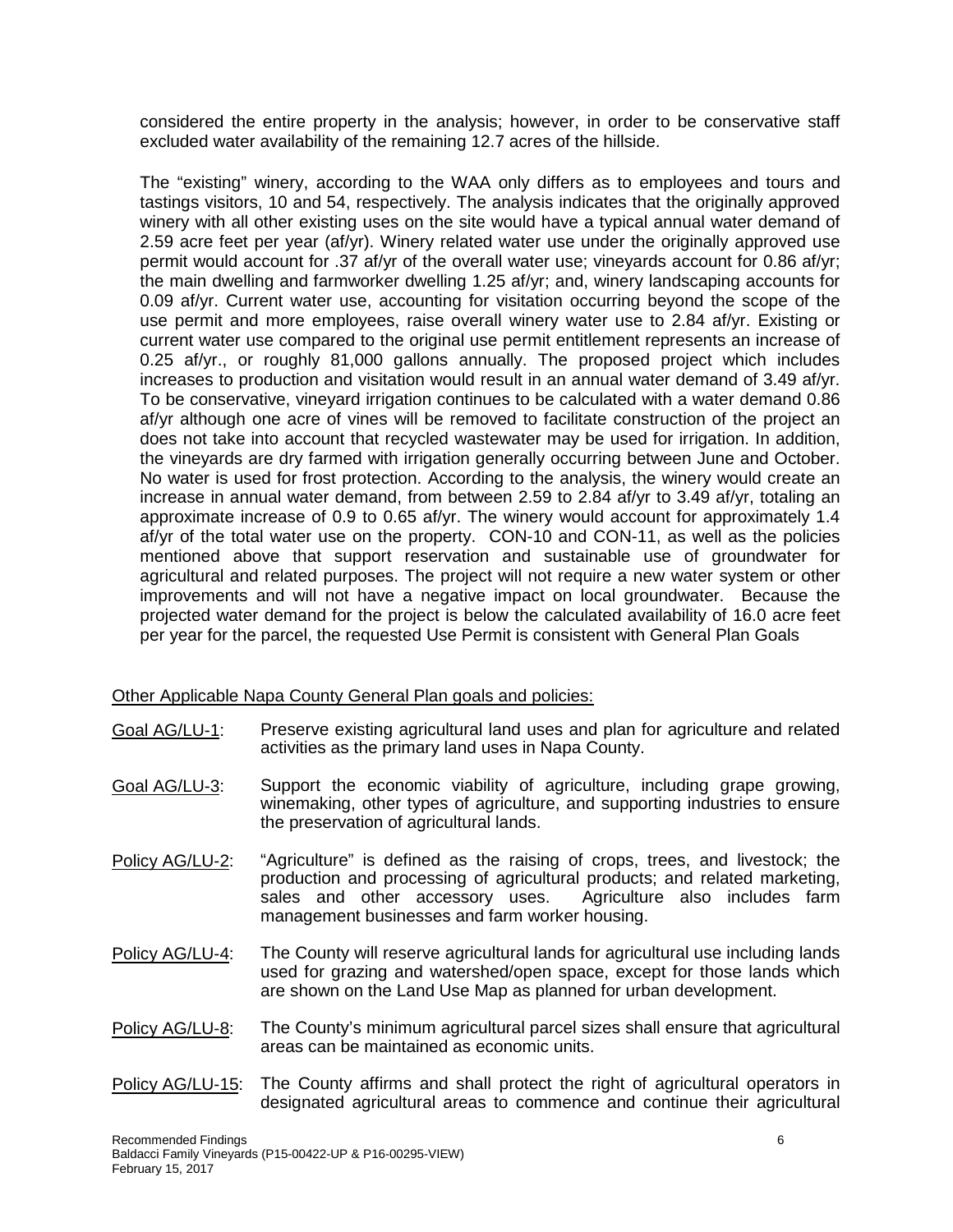considered the entire property in the analysis; however, in order to be conservative staff excluded water availability of the remaining 12.7 acres of the hillside.

The "existing" winery, according to the WAA only differs as to employees and tours and tastings visitors, 10 and 54, respectively. The analysis indicates that the originally approved winery with all other existing uses on the site would have a typical annual water demand of 2.59 acre feet per year (af/yr). Winery related water use under the originally approved use permit would account for .37 af/yr of the overall water use; vineyards account for 0.86 af/yr; the main dwelling and farmworker dwelling 1.25 af/yr; and, winery landscaping accounts for 0.09 af/yr. Current water use, accounting for visitation occurring beyond the scope of the use permit and more employees, raise overall winery water use to 2.84 af/yr. Existing or current water use compared to the original use permit entitlement represents an increase of 0.25 af/yr., or roughly 81,000 gallons annually. The proposed project which includes increases to production and visitation would result in an annual water demand of 3.49 af/yr. To be conservative, vineyard irrigation continues to be calculated with a water demand 0.86 af/yr although one acre of vines will be removed to facilitate construction of the project an does not take into account that recycled wastewater may be used for irrigation. In addition, the vineyards are dry farmed with irrigation generally occurring between June and October. No water is used for frost protection. According to the analysis, the winery would create an increase in annual water demand, from between 2.59 to 2.84 af/yr to 3.49 af/yr, totaling an approximate increase of 0.9 to 0.65 af/yr. The winery would account for approximately 1.4 af/yr of the total water use on the property. CON-10 and CON-11, as well as the policies mentioned above that support reservation and sustainable use of groundwater for agricultural and related purposes. The project will not require a new water system or other improvements and will not have a negative impact on local groundwater. Because the projected water demand for the project is below the calculated availability of 16.0 acre feet per year for the parcel, the requested Use Permit is consistent with General Plan Goals

### Other Applicable Napa County General Plan goals and policies:

- Goal AG/LU-1: Preserve existing agricultural land uses and plan for agriculture and related activities as the primary land uses in Napa County.
- Goal AG/LU-3: Support the economic viability of agriculture, including grape growing, winemaking, other types of agriculture, and supporting industries to ensure the preservation of agricultural lands.
- Policy AG/LU-2: "Agriculture" is defined as the raising of crops, trees, and livestock; the production and processing of agricultural products; and related marketing, sales and other accessory uses. Agriculture also includes farm sales and other accessory uses. management businesses and farm worker housing.
- Policy AG/LU-4: The County will reserve agricultural lands for agricultural use including lands used for grazing and watershed/open space, except for those lands which are shown on the Land Use Map as planned for urban development.
- Policy AG/LU-8: The County's minimum agricultural parcel sizes shall ensure that agricultural areas can be maintained as economic units.
- Policy AG/LU-15: The County affirms and shall protect the right of agricultural operators in designated agricultural areas to commence and continue their agricultural